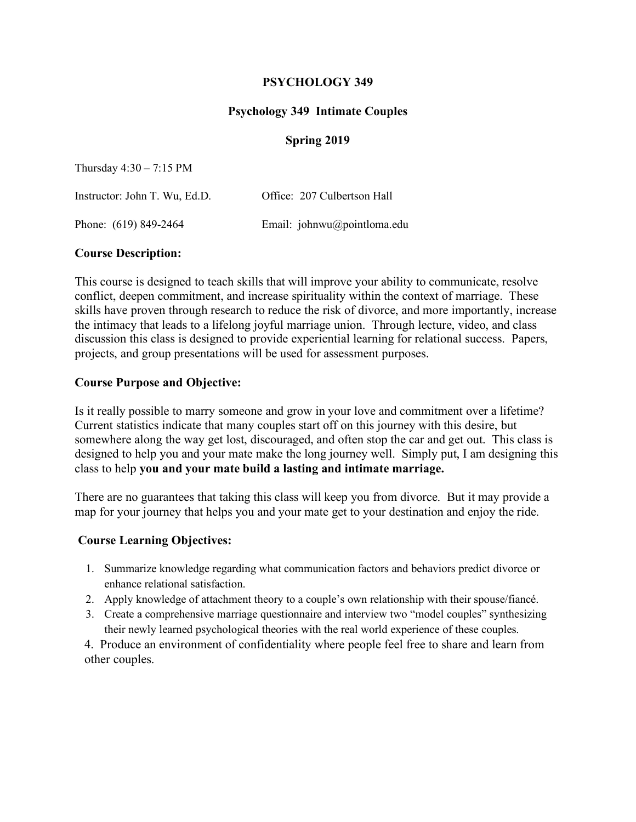### **PSYCHOLOGY 349**

## **Psychology 349 Intimate Couples**

### **Spring 2019**

Thursday 4:30 – 7:15 PM

| Instructor: John T. Wu, Ed.D. | Office: 207 Culbertson Hall |
|-------------------------------|-----------------------------|
| Phone: (619) 849-2464         | Email: johnwu@pointloma.edu |

#### **Course Description:**

This course is designed to teach skills that will improve your ability to communicate, resolve conflict, deepen commitment, and increase spirituality within the context of marriage. These skills have proven through research to reduce the risk of divorce, and more importantly, increase the intimacy that leads to a lifelong joyful marriage union. Through lecture, video, and class discussion this class is designed to provide experiential learning for relational success. Papers, projects, and group presentations will be used for assessment purposes.

### **Course Purpose and Objective:**

Is it really possible to marry someone and grow in your love and commitment over a lifetime? Current statistics indicate that many couples start off on this journey with this desire, but somewhere along the way get lost, discouraged, and often stop the car and get out. This class is designed to help you and your mate make the long journey well. Simply put, I am designing this class to help **you and your mate build a lasting and intimate marriage.**

There are no guarantees that taking this class will keep you from divorce. But it may provide a map for your journey that helps you and your mate get to your destination and enjoy the ride.

### **Course Learning Objectives:**

- 1. Summarize knowledge regarding what communication factors and behaviors predict divorce or enhance relational satisfaction.
- 2. Apply knowledge of attachment theory to a couple's own relationship with their spouse/fiancé.
- 3. Create a comprehensive marriage questionnaire and interview two "model couples" synthesizing their newly learned psychological theories with the real world experience of these couples.

4. Produce an environment of confidentiality where people feel free to share and learn from other couples.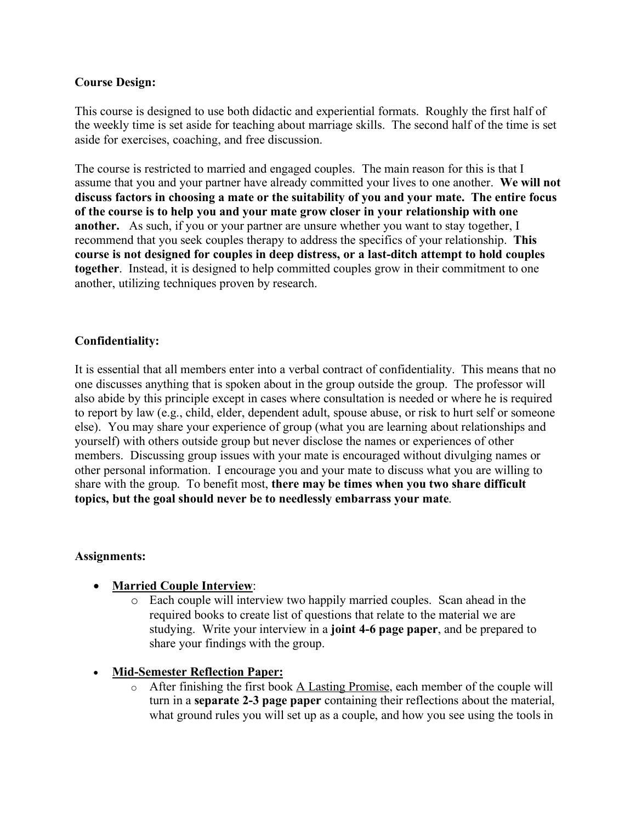## **Course Design:**

This course is designed to use both didactic and experiential formats. Roughly the first half of the weekly time is set aside for teaching about marriage skills. The second half of the time is set aside for exercises, coaching, and free discussion.

The course is restricted to married and engaged couples. The main reason for this is that I assume that you and your partner have already committed your lives to one another. **We will not discuss factors in choosing a mate or the suitability of you and your mate. The entire focus of the course is to help you and your mate grow closer in your relationship with one another.** As such, if you or your partner are unsure whether you want to stay together, I recommend that you seek couples therapy to address the specifics of your relationship. **This course is not designed for couples in deep distress, or a last-ditch attempt to hold couples together**. Instead, it is designed to help committed couples grow in their commitment to one another, utilizing techniques proven by research.

## **Confidentiality:**

It is essential that all members enter into a verbal contract of confidentiality. This means that no one discusses anything that is spoken about in the group outside the group. The professor will also abide by this principle except in cases where consultation is needed or where he is required to report by law (e.g., child, elder, dependent adult, spouse abuse, or risk to hurt self or someone else). You may share your experience of group (what you are learning about relationships and yourself) with others outside group but never disclose the names or experiences of other members. Discussing group issues with your mate is encouraged without divulging names or other personal information. I encourage you and your mate to discuss what you are willing to share with the group. To benefit most, **there may be times when you two share difficult topics, but the goal should never be to needlessly embarrass your mate**.

### **Assignments:**

- **Married Couple Interview**:
	- o Each couple will interview two happily married couples. Scan ahead in the required books to create list of questions that relate to the material we are studying. Write your interview in a **joint 4-6 page paper**, and be prepared to share your findings with the group.
- **Mid-Semester Reflection Paper:**
	- o After finishing the first book A Lasting Promise, each member of the couple will turn in a **separate 2-3 page paper** containing their reflections about the material, what ground rules you will set up as a couple, and how you see using the tools in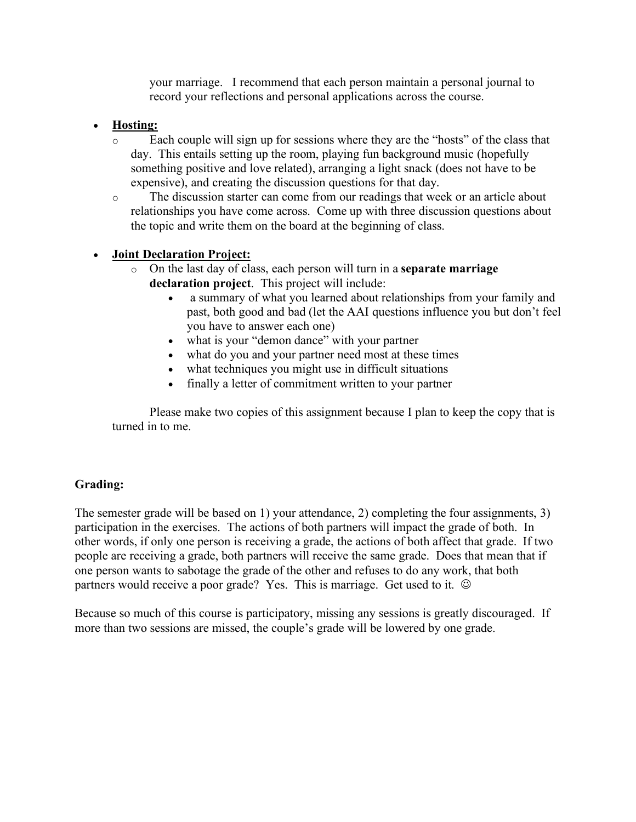your marriage. I recommend that each person maintain a personal journal to record your reflections and personal applications across the course.

# • **Hosting:**

- o Each couple will sign up for sessions where they are the "hosts" of the class that day. This entails setting up the room, playing fun background music (hopefully something positive and love related), arranging a light snack (does not have to be expensive), and creating the discussion questions for that day.
- o The discussion starter can come from our readings that week or an article about relationships you have come across. Come up with three discussion questions about the topic and write them on the board at the beginning of class.

## • **Joint Declaration Project:**

- o On the last day of class, each person will turn in a **separate marriage declaration project**. This project will include:
	- a summary of what you learned about relationships from your family and past, both good and bad (let the AAI questions influence you but don't feel you have to answer each one)
	- what is your "demon dance" with your partner
	- what do you and your partner need most at these times
	- what techniques you might use in difficult situations
	- finally a letter of commitment written to your partner

Please make two copies of this assignment because I plan to keep the copy that is turned in to me.

## **Grading:**

The semester grade will be based on 1) your attendance, 2) completing the four assignments, 3) participation in the exercises. The actions of both partners will impact the grade of both. In other words, if only one person is receiving a grade, the actions of both affect that grade. If two people are receiving a grade, both partners will receive the same grade. Does that mean that if one person wants to sabotage the grade of the other and refuses to do any work, that both partners would receive a poor grade? Yes. This is marriage. Get used to it.  $\odot$ 

Because so much of this course is participatory, missing any sessions is greatly discouraged. If more than two sessions are missed, the couple's grade will be lowered by one grade.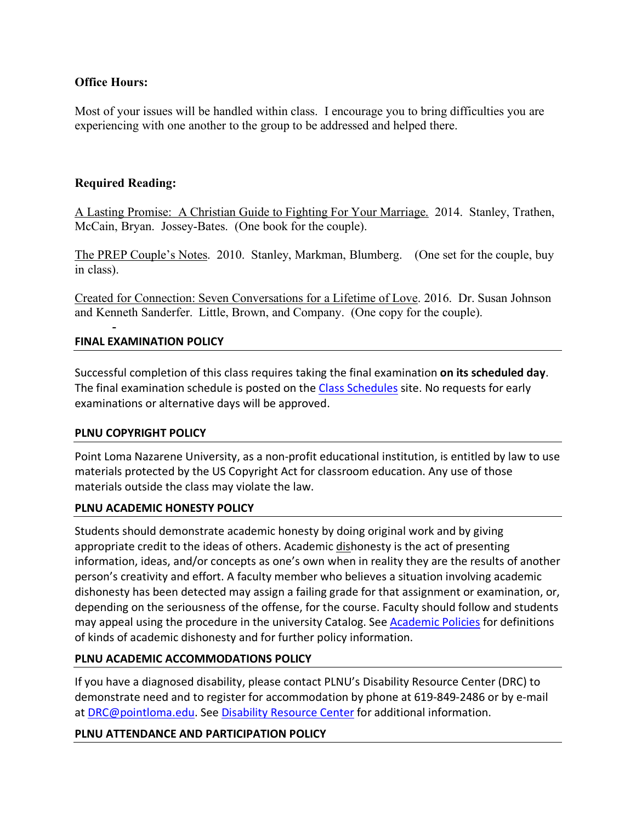## **Office Hours:**

Most of your issues will be handled within class. I encourage you to bring difficulties you are experiencing with one another to the group to be addressed and helped there.

## **Required Reading:**

A Lasting Promise: A Christian Guide to Fighting For Your Marriage. 2014. Stanley, Trathen, McCain, Bryan. Jossey-Bates. (One book for the couple).

The PREP Couple's Notes. 2010. Stanley, Markman, Blumberg. (One set for the couple, buy in class).

Created for Connection: Seven Conversations for a Lifetime of Love. 2016. Dr. Susan Johnson and Kenneth Sanderfer. Little, Brown, and Company. (One copy for the couple).

## **FINAL EXAMINATION POLICY**

-

Successful completion of this class requires taking the final examination **on its scheduled day**. The final examination schedule is posted on the Class Schedules site. No requests for early examinations or alternative days will be approved.

### **PLNU COPYRIGHT POLICY**

Point Loma Nazarene University, as a non-profit educational institution, is entitled by law to use materials protected by the US Copyright Act for classroom education. Any use of those materials outside the class may violate the law.

### **PLNU ACADEMIC HONESTY POLICY**

Students should demonstrate academic honesty by doing original work and by giving appropriate credit to the ideas of others. Academic dishonesty is the act of presenting information, ideas, and/or concepts as one's own when in reality they are the results of another person's creativity and effort. A faculty member who believes a situation involving academic dishonesty has been detected may assign a failing grade for that assignment or examination, or, depending on the seriousness of the offense, for the course. Faculty should follow and students may appeal using the procedure in the university Catalog. See Academic Policies for definitions of kinds of academic dishonesty and for further policy information.

### **PLNU ACADEMIC ACCOMMODATIONS POLICY**

If you have a diagnosed disability, please contact PLNU's Disability Resource Center (DRC) to demonstrate need and to register for accommodation by phone at 619-849-2486 or by e-mail at DRC@pointloma.edu. See Disability Resource Center for additional information.

### **PLNU ATTENDANCE AND PARTICIPATION POLICY**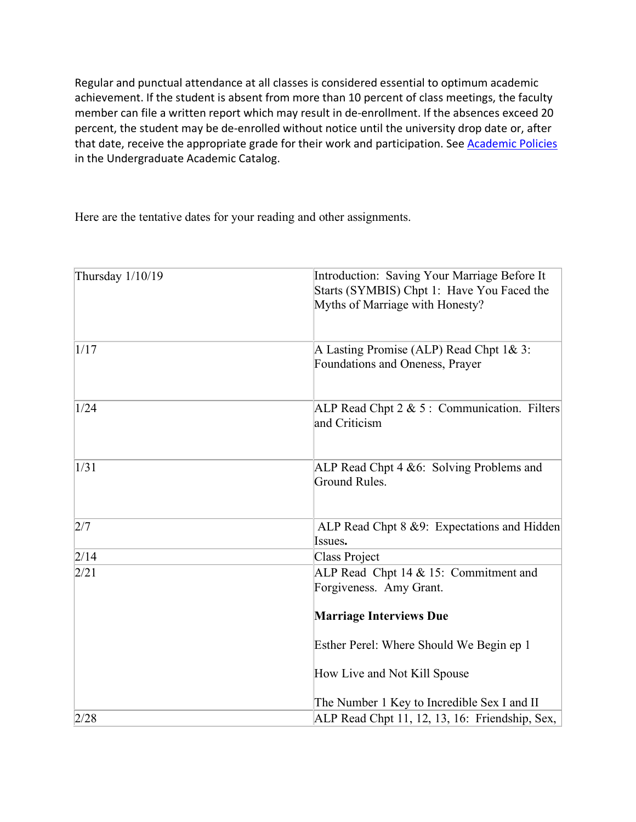Regular and punctual attendance at all classes is considered essential to optimum academic achievement. If the student is absent from more than 10 percent of class meetings, the faculty member can file a written report which may result in de-enrollment. If the absences exceed 20 percent, the student may be de-enrolled without notice until the university drop date or, after that date, receive the appropriate grade for their work and participation. See Academic Policies in the Undergraduate Academic Catalog.

Here are the tentative dates for your reading and other assignments.

| Thursday 1/10/19 | Introduction: Saving Your Marriage Before It<br>Starts (SYMBIS) Chpt 1: Have You Faced the<br>Myths of Marriage with Honesty? |
|------------------|-------------------------------------------------------------------------------------------------------------------------------|
| 1/17             | A Lasting Promise (ALP) Read Chpt 1& 3:<br>Foundations and Oneness, Prayer                                                    |
| 1/24             | ALP Read Chpt 2 & 5: Communication. Filters<br>and Criticism                                                                  |
| 1/31             | ALP Read Chpt 4 & 6: Solving Problems and<br>Ground Rules.                                                                    |
| 2/7              | ALP Read Chpt 8 &9: Expectations and Hidden<br>Issues.                                                                        |
| 2/14             | <b>Class Project</b>                                                                                                          |
| 2/21             | ALP Read Chpt 14 & 15: Commitment and<br>Forgiveness. Amy Grant.                                                              |
|                  | <b>Marriage Interviews Due</b>                                                                                                |
|                  | Esther Perel: Where Should We Begin ep 1                                                                                      |
|                  | How Live and Not Kill Spouse                                                                                                  |
|                  | The Number 1 Key to Incredible Sex I and II                                                                                   |
| 2/28             | ALP Read Chpt 11, 12, 13, 16: Friendship, Sex,                                                                                |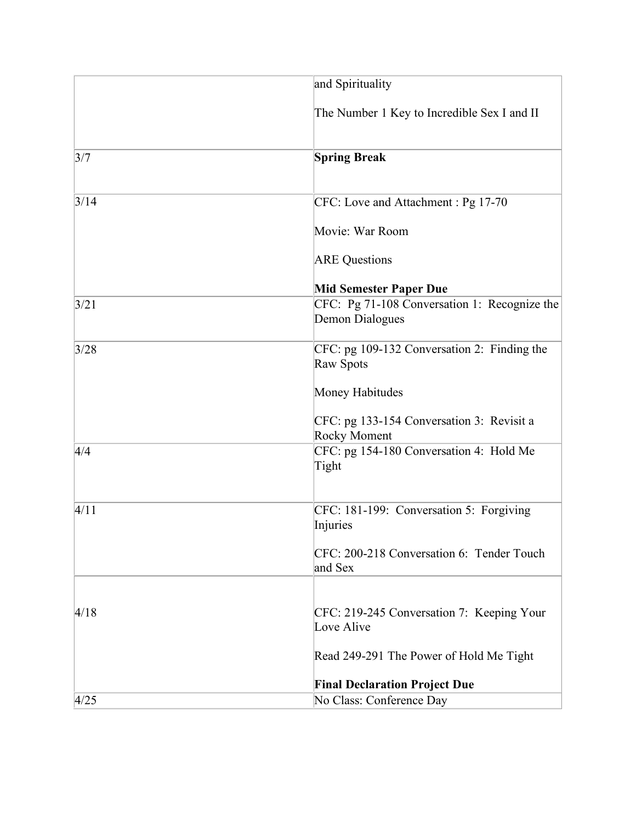|      | and Spirituality                                                 |
|------|------------------------------------------------------------------|
|      | The Number 1 Key to Incredible Sex I and II                      |
| 3/7  | <b>Spring Break</b>                                              |
| 3/14 | CFC: Love and Attachment : Pg 17-70                              |
|      | Movie: War Room                                                  |
|      | <b>ARE Questions</b>                                             |
|      | <b>Mid Semester Paper Due</b>                                    |
| 3/21 | CFC: Pg 71-108 Conversation 1: Recognize the<br>Demon Dialogues  |
| 3/28 | CFC: pg 109-132 Conversation 2: Finding the<br>Raw Spots         |
|      | Money Habitudes                                                  |
|      | CFC: pg 133-154 Conversation 3: Revisit a<br><b>Rocky Moment</b> |
| 4/4  | CFC: pg 154-180 Conversation 4: Hold Me<br>Tight                 |
| 4/11 | CFC: 181-199: Conversation 5: Forgiving<br>Injuries              |
|      | CFC: 200-218 Conversation 6: Tender Touch<br>and Sex             |
|      |                                                                  |
| 4/18 | CFC: 219-245 Conversation 7: Keeping Your<br>Love Alive          |
|      | Read 249-291 The Power of Hold Me Tight                          |
|      | <b>Final Declaration Project Due</b>                             |
| 4/25 | No Class: Conference Day                                         |